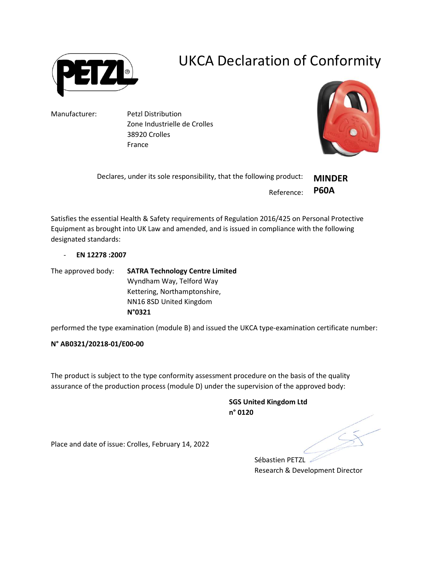

## UKCA Declaration of Conformity

Manufacturer: Petzl Distribution Zone Industrielle de Crolles 38920 Crolles France



| Declares, under its sole responsibility, that the following product: | <b>MINDER</b> |
|----------------------------------------------------------------------|---------------|
| Reference: P60A                                                      |               |

Satisfies the essential Health & Safety requirements of Regulation 2016/425 on Personal Protective Equipment as brought into UK Law and amended, and is issued in compliance with the following designated standards:

- EN 12278 :2007

The approved body: SATRA Technology Centre Limited Wyndham Way, Telford Way Kettering, Northamptonshire, NN16 8SD United Kingdom N°0321

performed the type examination (module B) and issued the UKCA type-examination certificate number:

## N° AB0321/20218-01/E00-00

The product is subject to the type conformity assessment procedure on the basis of the quality assurance of the production process (module D) under the supervision of the approved body:

> SGS United Kingdom Ltd n° 0120

Place and date of issue: Crolles, February 14, 2022

Sébastien PETZL Research & Development Director